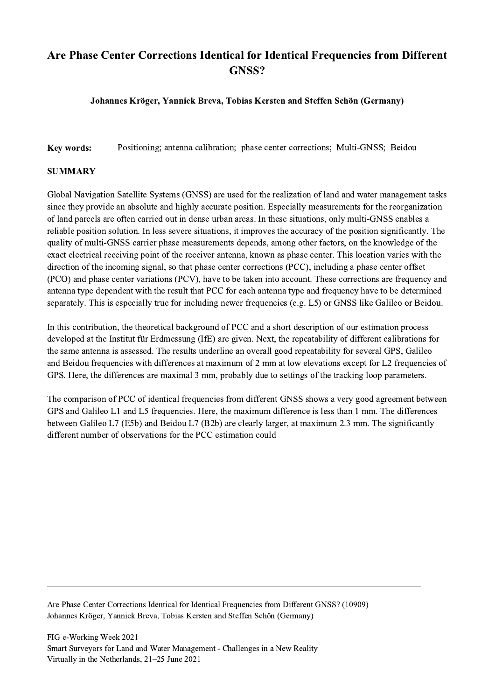## Are Phase Center Corrections Identical for Identical Frequencies from Different GNSS?

## Johannes Kröger, Yannick Breva, Tobias Kersten and Steffen Schön (Germany)

Key words: Positioning; antenna calibration; phase center corrections; Multi-GNSS; Beidou

## **SUMMARY**

Global Navigation Satellite Systems (GNSS) are used for the realization of land and water management tasks since they provide an absolute and highly accurate position. Especially measurements for the reorganization of land parcels are often carried out in dense urban areas. In these situations, only multi-GNSS enables a reliable position solution. In less severe situations, it improves the accuracy of the position significantly. The quality of multi-GNSS carrier phase measurements depends, among other factors, on the knowledge of the exact electrical receiving point of the receiver antenna, known as phase center. This location varies with the direction of the incoming signal, so that phase center corrections (PCC), including a phase center offset (PCO) and phase center variations (PCV), have to be taken into account. These corrections are frequency and antenna type dependent with the result that PCC for each antenna type and frequency have to be determined separately. This is especially true for including newer frequencies (e.g. L5) or GNSS like Galileo or Beidou.

In this contribution, the theoretical background of PCC and a short description of our estimation process developed at the Institut für Erdmessung (IfE) are given. Next, the repeatability of different calibrations for the same antenna is assessed. The results underline an overall good repeatability for several GPS, Galileo and Beidou frequencies with differences at maximum of 2 mm at low elevations except for L2 frequencies of GPS. Here, the differences are maximal 3 mm, probably due to settings of the tracking loop parameters.

The comparison of PCC of identical frequencies from different GNSS shows a very good agreement between GPS and Galileo L1 and L5 frequencies. Here, the maximum difference is less than 1 mm. The differences between Galileo L7 (E5b) and Beidou L7 (B2b) are clearly larger, at maximum 2.3 mm. The significantly different number of observations for the PCC estimation could

Are Phase Center Corrections Identical for Identical Frequencies from Different GNSS? (10909) Johannes Kröger, Yannick Breva, Tobias Kersten and Steffen Schön (Germany)

 $\mathcal{L}_\mathcal{L} = \{ \mathcal{L}_\mathcal{L} = \{ \mathcal{L}_\mathcal{L} = \{ \mathcal{L}_\mathcal{L} = \{ \mathcal{L}_\mathcal{L} = \{ \mathcal{L}_\mathcal{L} = \{ \mathcal{L}_\mathcal{L} = \{ \mathcal{L}_\mathcal{L} = \{ \mathcal{L}_\mathcal{L} = \{ \mathcal{L}_\mathcal{L} = \{ \mathcal{L}_\mathcal{L} = \{ \mathcal{L}_\mathcal{L} = \{ \mathcal{L}_\mathcal{L} = \{ \mathcal{L}_\mathcal{L} = \{ \mathcal{L}_\mathcal{$